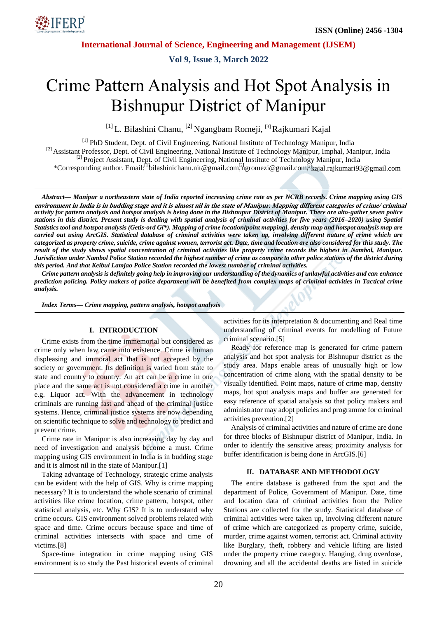

**Vol 9, Issue 3, March 2022**

# Crime Pattern Analysis and Hot Spot Analysis in Bishnupur District of Manipur

[1] L. Bilashini Chanu, [2] Ngangbam Romeji, [3] Rajkumari Kajal

[1] PhD Student, Dept. of Civil Engineering, National Institute of Technology Manipur, India <sup>[2]</sup> Assistant Professor, Dept. of Civil Engineering, National Institute of Technology Manipur, Imphal, Manipur, India <sup>[2]</sup> Project Assistant, Dept. of Civil Engineering, National Institute of Technology Manipur, India \*Corresponding author. Email:<sup>[1</sup>bilashinichanu.nit@gmail.com, hgromezi@gmail.com,<sup>3</sup>kajal.rajkumari93@gmail.com

*Abstract— Manipur a northeastern state of India reported increasing crime rate as per NCRB records. Crime mapping using GIS activity for pattern analysis and hotspot analysis is being done in the Bishnupur District of Manipur. There are alto-gather seven police stations in this district. Present study is dealing with spatial analysis of criminal activities for five years (2016–2020) using Spatial Statistics tool and hotspot analysis (Getis-ord Gi\*). Mapping of crime location(point mapping), density map and hotspot analysis map are carried out using ArcGIS. Statistical database of criminal activities were taken up, involving different nature of crime which are categorized as property crime, suicide, crime against women, terrorist act. Date, time and location are also considered for this study. The result of the study shows spatial concentration of criminal activities like property crime records the highest in Nambol, Manipur. Jurisdiction under Nambol Police Station recorded the highest number of crime as compare to other police stations of the district during this period. And that Keibul Lamjao Police Station recorded the lowest number of criminal activities.* **environment in India is in budding stage and it is almost nil in the state of Manipur. Mapping different categories of crime/ criminal**

*Crime pattern analysis is definitely going help in improving our understanding of the dynamics of unlawful activities and can enhance prediction policing. Policy makers of police department will be benefited from complex maps of criminal activities in Tactical crime analysis.*

*Index Terms— Crime mapping, pattern analysis, hotspot analysis*

#### **I. INTRODUCTION**

Crime exists from the time immemorial but considered as crime only when law came into existence. Crime is human displeasing and immoral act that is not accepted by the society or government. Its definition is varied from state to state and country to country. An act can be a crime in one place and the same act is not considered a crime in another e.g. Liquor act. With the advancement in technology criminals are running fast and ahead of the criminal justice systems. Hence, criminal justice systems are now depending on scientific technique to solve and technology to predict and prevent crime.

Crime rate in Manipur is also increasing day by day and need of investigation and analysis become a must. Crime mapping using GIS environment in India is in budding stage and it is almost nil in the state of Manipur.[1]

Taking advantage of Technology, strategic crime analysis can be evident with the help of GIS. Why is crime mapping necessary? It is to understand the whole scenario of criminal activities like crime location, crime pattern, hotspot, other statistical analysis, etc. Why GIS? It is to understand why crime occurs. GIS environment solved problems related with space and time. Crime occurs because space and time of criminal activities intersects with space and time of victims.[8]

Space-time integration in crime mapping using GIS environment is to study the Past historical events of criminal activities for its interpretation & documenting and Real time understanding of criminal events for modelling of Future criminal scenario.[5]

Ready for reference map is generated for crime pattern analysis and hot spot analysis for Bishnupur district as the study area. Maps enable areas of unusually high or low concentration of crime along with the spatial density to be visually identified. Point maps, nature of crime map, density maps, hot spot analysis maps and buffer are generated for easy reference of spatial analysis so that policy makers and administrator may adopt policies and programme for criminal activities prevention.[2]

Analysis of criminal activities and nature of crime are done for three blocks of Bishnupur district of Manipur, India. In order to identify the sensitive areas; proximity analysis for buffer identification is being done in ArcGIS.[6]

#### **II. DATABASE AND METHODOLOGY**

The entire database is gathered from the spot and the department of Police, Government of Manipur. Date, time and location data of criminal activities from the Police Stations are collected for the study. Statistical database of criminal activities were taken up, involving different nature of crime which are categorized as property crime, suicide, murder, crime against women, terrorist act. Criminal activity like Burglary, theft, robbery and vehicle lifting are listed under the property crime category. Hanging, drug overdose, drowning and all the accidental deaths are listed in suicide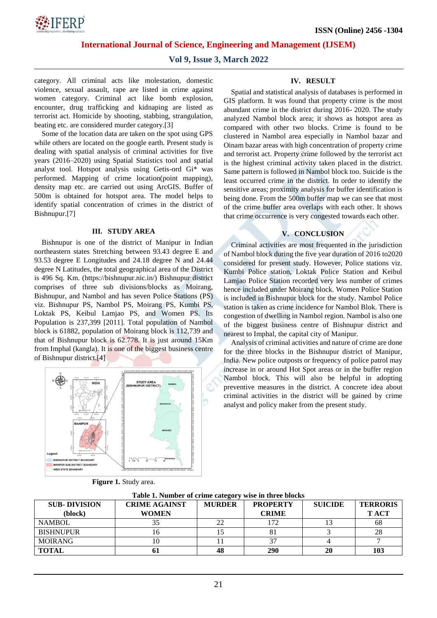

**Vol 9, Issue 3, March 2022**

category. All criminal acts like molestation, domestic violence, sexual assault, rape are listed in crime against women category. Criminal act like bomb explosion, encounter, drug trafficking and kidnaping are listed as terrorist act. Homicide by shooting, stabbing, strangulation, beating etc. are considered murder category.[3]

Some of the location data are taken on the spot using GPS while others are located on the google earth. Present study is dealing with spatial analysis of criminal activities for five years (2016–2020) using Spatial Statistics tool and spatial analyst tool. Hotspot analysis using Getis-ord Gi\* was performed. Mapping of crime location(point mapping), density map etc. are carried out using ArcGIS. Buffer of 500m is obtained for hotspot area. The model helps to identify spatial concentration of crimes in the district of Bishnupur.[7]

#### **III. STUDY AREA**

Bishnupur is one of the district of Manipur in Indian northeastern states Stretching between 93.43 degree E and 93.53 degree E Longitudes and 24.18 degree N and 24.44 degree N Latitudes, the total geographical area of the District is 496 Sq. Km. (https://bishnupur.nic.in/) Bishnupur district comprises of three sub divisions/blocks as Moirang, Bishnupur, and Nambol and has seven Police Stations (PS) viz. Bishnupur PS, Nambol PS, Moirang PS, Kumbi PS, Loktak PS, Keibul Lamjao PS, and Women PS. Its Population is 237,399 [2011]. Total population of Nambol block is 61882, population of Moirang block is 112,739 and that of Bishnupur block is 62.778. It is just around 15Km from Imphal (kangla). It is one of the biggest business centre of Bishnupur district.[4]



| Figure 1. Study area. |  |  |  |
|-----------------------|--|--|--|
|-----------------------|--|--|--|

#### **IV. RESULT**

Spatial and statistical analysis of databases is performed in GIS platform. It was found that property crime is the most abundant crime in the district during 2016- 2020. The study analyzed Nambol block area; it shows as hotspot area as compared with other two blocks. Crime is found to be clustered in Nambol area especially in Nambol bazar and Oinam bazar areas with high concentration of property crime and terrorist act. Property crime followed by the terrorist act is the highest criminal activity taken placed in the district. Same pattern is followed in Nambol block too. Suicide is the least occurred crime in the district. In order to identify the sensitive areas; proximity analysis for buffer identification is being done. From the 500m buffer map we can see that most of the crime buffer area overlaps with each other. It shows that crime occurrence is very congested towards each other.

#### **V. CONCLUSION**

Criminal activities are most frequented in the jurisdiction of Nambol block during the five year duration of 2016 to2020 considered for present study. However, Police stations viz. Kumbi Police station, Loktak Police Station and Keibul Lamjao Police Station recorded very less number of crimes hence included under Moirang block. Women Police Station is included in Bishnupur block for the study. Nambol Police station is taken as crime incidence for Nambol Blok. There is congestion of dwelling in Nambol region. Nambol is also one of the biggest business centre of Bishnupur district and nearest to Imphal, the capital city of Manipur.

Analysis of criminal activities and nature of crime are done for the three blocks in the Bishnupur district of Manipur, India. New police outposts or frequency of police patrol may increase in or around Hot Spot areas or in the buffer region Nambol block. This will also be helpful in adopting preventive measures in the district. A concrete idea about criminal activities in the district will be gained by crime analyst and policy maker from the present study.

| Table 1. Number of crime category wise in three blocks |                      |               |                 |                |                 |  |  |
|--------------------------------------------------------|----------------------|---------------|-----------------|----------------|-----------------|--|--|
| <b>SUB-DIVISION</b>                                    | <b>CRIME AGAINST</b> | <b>MURDER</b> | <b>PROPERTY</b> | <b>SUICIDE</b> | <b>TERRORIS</b> |  |  |
| (block)                                                | <b>WOMEN</b>         |               | <b>CRIME</b>    |                | <b>TACT</b>     |  |  |
| <b>NAMBOL</b>                                          | 35                   | 22            | 172             |                | 68              |  |  |
| <b>BISHNUPUR</b>                                       |                      |               | 81              |                | 28              |  |  |
| <b>MOIRANG</b>                                         | 10                   |               | 37              |                |                 |  |  |
| <b>TOTAL</b>                                           | vі                   |               | 290             | 20             | 103             |  |  |

**Table 1. Number of crime category wise in three blocks**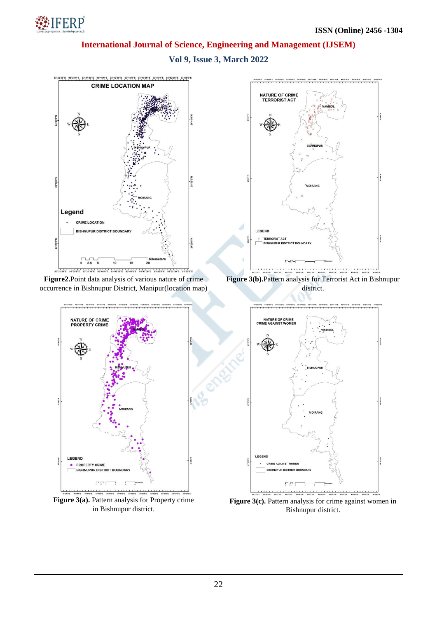

**Vol 9, Issue 3, March 2022**



Figure 3(c). Pattern analysis for crime against women in Bishnupur district.

in Bishnupur district.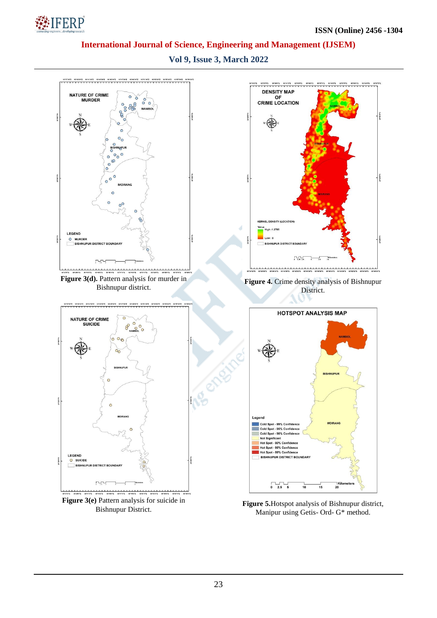

**Vol 9, Issue 3, March 2022**



Manipur using Getis- Ord- G\* method.